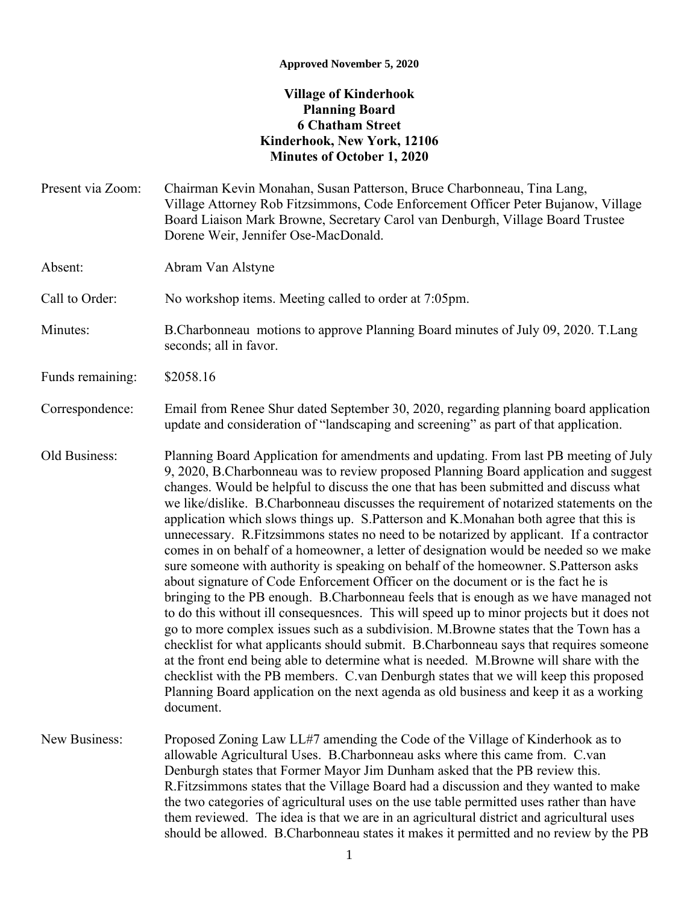## **Approved November 5, 2020**

## **Village of Kinderhook Planning Board 6 Chatham Street Kinderhook, New York, 12106 Minutes of October 1, 2020**

Present via Zoom: Chairman Kevin Monahan, Susan Patterson, Bruce Charbonneau, Tina Lang, Village Attorney Rob Fitzsimmons, Code Enforcement Officer Peter Bujanow, Village Board Liaison Mark Browne, Secretary Carol van Denburgh, Village Board Trustee Dorene Weir, Jennifer Ose-MacDonald. Absent: Abram Van Alstyne Call to Order: No workshop items. Meeting called to order at 7:05pm. Minutes: B.Charbonneau motions to approve Planning Board minutes of July 09, 2020. T.Lang seconds; all in favor. Funds remaining: \$2058.16 Correspondence: Email from Renee Shur dated September 30, 2020, regarding planning board application update and consideration of "landscaping and screening" as part of that application. Old Business: Planning Board Application for amendments and updating. From last PB meeting of July 9, 2020, B.Charbonneau was to review proposed Planning Board application and suggest changes. Would be helpful to discuss the one that has been submitted and discuss what we like/dislike. B.Charbonneau discusses the requirement of notarized statements on the application which slows things up. S.Patterson and K.Monahan both agree that this is unnecessary. R.Fitzsimmons states no need to be notarized by applicant. If a contractor comes in on behalf of a homeowner, a letter of designation would be needed so we make sure someone with authority is speaking on behalf of the homeowner. S.Patterson asks about signature of Code Enforcement Officer on the document or is the fact he is bringing to the PB enough. B.Charbonneau feels that is enough as we have managed not to do this without ill consequesnces. This will speed up to minor projects but it does not go to more complex issues such as a subdivision. M.Browne states that the Town has a checklist for what applicants should submit. B.Charbonneau says that requires someone at the front end being able to determine what is needed. M.Browne will share with the checklist with the PB members. C.van Denburgh states that we will keep this proposed Planning Board application on the next agenda as old business and keep it as a working document. New Business: Proposed Zoning Law LL#7 amending the Code of the Village of Kinderhook as to allowable Agricultural Uses. B.Charbonneau asks where this came from. C.van Denburgh states that Former Mayor Jim Dunham asked that the PB review this. R.Fitzsimmons states that the Village Board had a discussion and they wanted to make

> the two categories of agricultural uses on the use table permitted uses rather than have them reviewed. The idea is that we are in an agricultural district and agricultural uses should be allowed. B.Charbonneau states it makes it permitted and no review by the PB